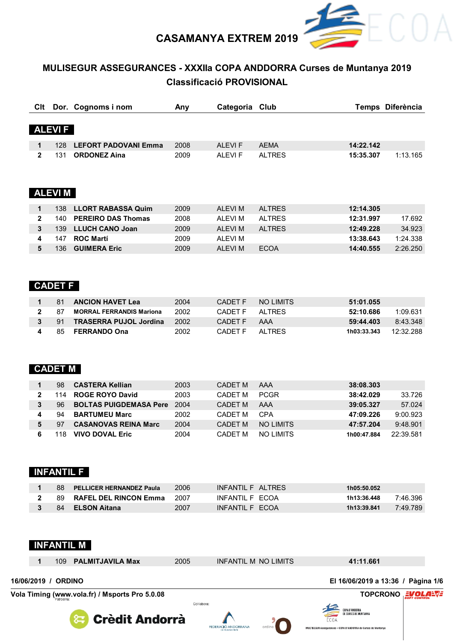

# MULISEGUR ASSEGURANCES - XXXIIa COPA ANDDORRA Curses de Muntanya 2019 **Classificació PROVISIONAL**

| Clt          |               | Dor. Cognoms i nom          | Any  | Categoria Club |               |           | Temps Diferència |
|--------------|---------------|-----------------------------|------|----------------|---------------|-----------|------------------|
|              |               |                             |      |                |               |           |                  |
|              | <b>ALEVIF</b> |                             |      |                |               |           |                  |
| 1            | 128           | <b>LEFORT PADOVANI Emma</b> | 2008 | <b>ALEVIF</b>  | <b>AEMA</b>   | 14:22.142 |                  |
| $\mathbf{2}$ | 131           | <b>ORDONEZ Aina</b>         | 2009 | <b>ALEVIF</b>  | <b>ALTRES</b> | 15:35.307 | 1:13.165         |
|              |               |                             |      |                |               |           |                  |
|              |               |                             |      |                |               |           |                  |
|              | <b>ALEVIM</b> |                             |      |                |               |           |                  |
|              |               |                             |      |                |               |           |                  |
| 1            | 138           | <b>LLORT RABASSA Quim</b>   | 2009 | <b>ALEVIM</b>  | <b>ALTRES</b> | 12:14.305 |                  |
| $\mathbf{2}$ | 140           | <b>PEREIRO DAS Thomas</b>   | 2008 | <b>ALEVIM</b>  | <b>ALTRES</b> | 12:31.997 | 17.692           |
| 3            | 139           | <b>LLUCH CANO Joan</b>      | 2009 | <b>ALEVIM</b>  | <b>ALTRES</b> | 12:49.228 | 34.923           |
| 4            | 147           | <b>ROC Martí</b>            | 2009 | <b>ALEVIM</b>  |               | 13:38.643 | 1:24.338         |
| 5            | 136           | <b>GUIMERA Eric</b>         | 2009 | <b>ALEVIM</b>  | <b>ECOA</b>   | 14:40.555 | 2:26.250         |
|              |               |                             |      |                |               |           |                  |
|              |               |                             |      |                |               |           |                  |
|              | - - - - - -   |                             |      |                |               |           |                  |

### **CADET F**

|             | 81 | <b>ANCION HAVET Lea</b>         | 2004 | CADET F | NO LIMITS | 51:01.055   |           |
|-------------|----|---------------------------------|------|---------|-----------|-------------|-----------|
| <b>2</b> 87 |    | <b>MORRAL FERRANDIS Mariona</b> | 2002 | CADET F | AI TRES   | 52:10.686   | 1.09631   |
|             |    | 3 91 TRASERRA PUJOL Jordina     | 2002 | CADET F | AAA       | 59:44.403   | 8:43.348  |
|             |    | 85 <b>FERRANDO Ona</b>          | 2002 | CADET F | AI TRFS   | 1h03:33.343 | 12:32.288 |

## **CADET M**

|   | 98  | <b>CASTERA Kellian</b>        | 2003 | CADET M | AAA         | 38:08.303   |           |
|---|-----|-------------------------------|------|---------|-------------|-------------|-----------|
|   | 114 | <b>ROGE ROYO David</b>        | 2003 | CADFT M | <b>PCGR</b> | 38:42.029   | 33.726    |
| 3 | 96. | <b>BOLTAS PUIGDEMASA Pere</b> | 2004 | CADET M | AAA         | 39:05.327   | 57.024    |
|   | 94  | <b>BARTUMEU Marc</b>          | 2002 | CADFT M | CPA         | 47:09.226   | 9:00.923  |
|   | 97  | <b>CASANOVAS REINA Marc</b>   | 2004 | CADFT M | NO I IMITS  | 47:57.204   | 9:48.901  |
|   | 18  | <b>VIVO DOVAL Eric</b>        | 2004 | CADFT M | NO LIMITS   | 1h00:47.884 | 22.39.581 |

## **INFANTIL F**

|  | 88 PELLICER HERNANDEZ Paula | 2006 | INFANTIL F ALTRES | 1h05:50.052 |          |
|--|-----------------------------|------|-------------------|-------------|----------|
|  | 89 RAFEL DEL RINCON Emma    | 2007 | INFANTII F FCOA   | 1h13:36.448 | 7:46.396 |
|  | 84 ELSON Aitana             | 2007 | INFANTII F FCOA   | 1h13:39.841 | 7:49.789 |



| Vola Timing (www.yola.fr) / Msports Pro 5.0.08 |                     |  |                      |      |                      |                                    | <b>TOPCRONO EVOLALVE</b> |  |
|------------------------------------------------|---------------------|--|----------------------|------|----------------------|------------------------------------|--------------------------|--|
|                                                | 16/06/2019 / ORDINO |  |                      |      |                      | El 16/06/2019 a 13:36 / Pàgina 1/6 |                          |  |
|                                                |                     |  | 109 PALMITJAVILA Max | 2005 | INFANTIL M NO LIMITS | 41:11.661                          |                          |  |







Col·labora:



**MULTISEGUE** 

ā

COPA D'ANDORRA<br><sup>Fic</sup> curses de Muntany*i*  $FCD$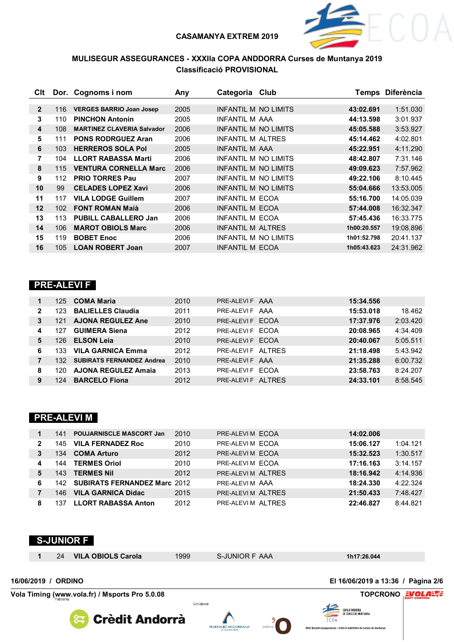

**VolaSoftControlPdf**

 $FCOA$ 

MULTISEGUR Assegurances - COPA D'ANDORRA de Curses de Muntanya

### **MULISEGUR ASSEGURANCES - XXXIIa COPA ANDDORRA Curses de Muntanya 2019 Classificació PROVISIONAL**

| Clt            |     | Dor. Cognoms i nom                | Any  | Categoria                   | Club |             | Temps Diferència |
|----------------|-----|-----------------------------------|------|-----------------------------|------|-------------|------------------|
|                |     |                                   |      |                             |      |             |                  |
| $\overline{2}$ | 116 | <b>VERGES BARRIO Joan Josep</b>   | 2005 | <b>INFANTIL M NO LIMITS</b> |      | 43:02.691   | 1:51.030         |
| 3              | 110 | <b>PINCHON Antonin</b>            | 2005 | INFANTIL M AAA              |      | 44:13.598   | 3:01.937         |
| 4              | 108 | <b>MARTINEZ CLAVERIA Salvador</b> | 2006 | INFANTIL M NO LIMITS        |      | 45:05.588   | 3:53.927         |
| 5              | 111 | <b>PONS RODRGUEZ Aran</b>         | 2006 | INFANTII M AI TRES          |      | 45:14.462   | 4:02.801         |
| 6              | 103 | <b>HERREROS SOLA Pol</b>          | 2005 | <b>INFANTIL M AAA</b>       |      | 45:22.951   | 4:11.290         |
| 7              | 104 | <b>LLORT RABASSA Marti</b>        | 2006 | INFANTIL M NO LIMITS        |      | 48:42.807   | 7:31.146         |
| 8              | 115 | <b>VENTURA CORNELLA Marc</b>      | 2006 | <b>INFANTIL M NO LIMITS</b> |      | 49:09.623   | 7:57.962         |
| 9              | 112 | <b>PRIO TORRES Pau</b>            | 2007 | INFANTII M NO I IMITS       |      | 49:22.106   | 8:10.445         |
| 10             | 99  | <b>CELADES LOPEZ Xavi</b>         | 2006 | INFANTIL M NO LIMITS        |      | 55:04.666   | 13:53.005        |
| 11             | 117 | <b>VILA LODGE Guillem</b>         | 2007 | INFANTIL M ECOA             |      | 55:16.700   | 14:05.039        |
| $12 \,$        | 102 | <b>FONT ROMAN Majà</b>            | 2006 | <b>INFANTIL M ECOA</b>      |      | 57:44.008   | 16:32.347        |
| 13             | 113 | <b>PUBILL CABALLERO Jan</b>       | 2006 | INFANTIL M ECOA             |      | 57:45.436   | 16:33.775        |
| 14             | 106 | <b>MAROT OBIOLS Marc</b>          | 2006 | <b>INFANTIL M ALTRES</b>    |      | 1h00:20.557 | 19:08.896        |
| 15             | 119 | <b>BOBET Enoc</b>                 | 2006 | INFANTIL M NO LIMITS        |      | 1h01:52.798 | 20:41.137        |
| 16             | 105 | <b>LOAN ROBERT Joan</b>           | 2007 | <b>INFANTIL M ECOA</b>      |      | 1h05:43.623 | 24:31.962        |

### **PRE-ALEVI F**

|                | 125  | <b>COMA Maria</b>                | 2010 | PRE-ALEVIF AAA     | 15:34.556 |          |
|----------------|------|----------------------------------|------|--------------------|-----------|----------|
| $\overline{2}$ | 123. | <b>BALIELLES Claudia</b>         | 2011 | PRE-ALEVIF AAA     | 15:53.018 | 18.462   |
| 3              | 121  | <b>AJONA REGULEZ Ane</b>         | 2010 | PRE-ALEVI F FCOA   | 17:37.976 | 2:03.420 |
| 4              | 127  | <b>GUIMERA Siena</b>             | 2012 | PRE-ALEVIF ECOA    | 20:08.965 | 4:34.409 |
| 5              | 126. | <b>ELSON Leia</b>                | 2010 | PRE-ALEVI F FCOA   | 20:40.067 | 5:05.511 |
| 6              | 133. | <b>VILA GARNICA Emma</b>         | 2012 | PRE-ALEVIF AITRES  | 21:18.498 | 5:43.942 |
|                | 132. | <b>SUBIRATS FERNANDEZ Andrea</b> | 2010 | PRE-ALEVIF AAA     | 21:35.288 | 6:00.732 |
| 8              | 120. | <b>AJONA REGULEZ Amaia</b>       | 2013 | PRE-ALEVIF ECOA    | 23:58.763 | 8:24.207 |
| 9              | 124  | <b>BARCELO Fiona</b>             | 2012 | PRE-ALEVIF AI TRFS | 24:33.101 | 8:58.545 |

### **PRE-ALEVI M**

|              | 141  | <b>POUJARNISCLE MASCORT Jan</b>  | 2010 | PRE-ALEVIM ECOA    | 14:02.006 |          |
|--------------|------|----------------------------------|------|--------------------|-----------|----------|
| $\mathbf{2}$ | 145  | <b>VILA FERNADEZ Roc</b>         | 2010 | PRE-ALEVIM ECOA    | 15:06.127 | 1:04.121 |
| 3            | 134  | <b>COMA Arturo</b>               | 2012 | PRE-ALEVIM ECOA    | 15:32.523 | 1:30.517 |
| 4            | 144  | <b>TERMES Oriol</b>              | 2010 | PRE-ALEVIM ECOA    | 17:16.163 | 3:14.157 |
| 5            | 143  | <b>TERMES Nil</b>                | 2012 | PRE-ALEVIM AI TRES | 18:16.942 | 4:14.936 |
| 6            |      | 142 SUBIRATS FERNANDEZ Marc 2012 |      | PRE-ALEVIM AAA     | 18:24.330 | 4:22.324 |
|              | 146. | <b>VILA GARNICA Didac</b>        | 2015 | PRE-ALEVIM ALTRES  | 21:50.433 | 7:48.427 |
| 8            | 137  | <b>LLORT RABASSA Anton</b>       | 2012 | PRE-ALEVIM ALTRES  | 22:46.827 | 8:44.821 |



FEDERACIÓ ANDORRANA

**Crèdit Andorrà**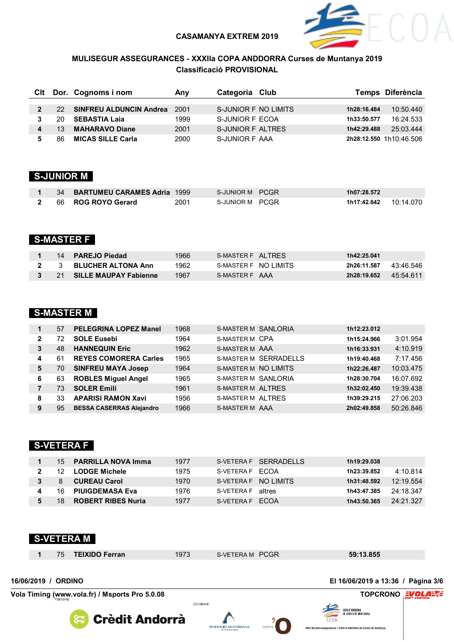

MULTISEGUR Assegurances - COPA D'ANDORRA de Curses de Mu

### **MULISEGUR ASSEGURANCES - XXXIIa COPA ANDDORRA Curses de Muntanya 2019 Classificació PROVISIONAL**

|              |     | Cit Dor. Cognoms i nom         | Anv  | Categoria Club           |             | Temps Diferència        |
|--------------|-----|--------------------------------|------|--------------------------|-------------|-------------------------|
| $\mathbf{2}$ | 22. | <b>SINFREU ALDUNCIN Andrea</b> | 2001 | S-JUNIOR F NO LIMITS     | 1h28:16.484 | 10:50.440               |
|              | 20  | <b>SEBASTIA Laja</b>           | 1999 | S-JUNIOR F ECOA          | 1h33:50.577 | 16:24.533               |
|              | 13  | <b>MAHARAVO Diane</b>          | 2001 | <b>S-JUNIOR F ALTRES</b> | 1h42:29.488 | 25:03.444               |
|              | 86  | <b>MICAS SILLE Carla</b>       | 2000 | S-JUNIOR F AAA           |             | 2h28:12.550 1h10:46.506 |

## **S-JUNIOR M**

|  | 34 BARTUMEU CARAMES Adria 1999 |      | S-JUNIOR M PCGR | 1h07:28.572 |           |
|--|--------------------------------|------|-----------------|-------------|-----------|
|  | 2 66 ROG ROYO Gerard           | 2001 | S-JUNIOR M PCGR | 1h17:42.642 | 10:14.070 |

## **S-MASTER F**

|      | 14 PAREJO Piedad          | 1966 | S-MASTER F AI TRES    | 1h42:25.041              |
|------|---------------------------|------|-----------------------|--------------------------|
|      | <b>BLUCHER ALTONA Ann</b> | 1962 | S-MASTER F NO I IMITS | 43 46 546<br>2h26:11.587 |
| - 21 | SILLE MAUPAY Fabienne     | 1967 | S-MASTER F AAA        | 45:54.611<br>2h28:19.652 |

### **S-MASTER M**

|              | 57 | <b>PELEGRINA LOPEZ Manel</b>    | 1968 | S-MASTER M SANLORIA        | 1h12:23.012              |
|--------------|----|---------------------------------|------|----------------------------|--------------------------|
| $\mathbf{2}$ | 72 | <b>SOLE Eusebi</b>              | 1964 | S-MASTER M CPA             | 3:01.954<br>1h15:24.966  |
| 3            | 48 | <b>HANNEQUIN Eric</b>           | 1962 | <b>S-MASTER M AAA</b>      | 4:10.919<br>1h16:33.931  |
| 4            | 61 | <b>REYES COMORERA Carles</b>    | 1965 | S-MASTER M SERRADELLS      | 7:17.456<br>1h19:40.468  |
| 5            | 70 | <b>SINFREU MAYA Josep</b>       | 1964 | S-MASTER M NO LIMITS       | 10:03.475<br>1h22:26.487 |
| 6            | 63 | <b>ROBLES Miguel Angel</b>      | 1965 | <b>S-MASTER M SANLORIA</b> | 16:07.692<br>1h28:30.704 |
|              | 73 | <b>SOLER Emili</b>              | 1961 | <b>S-MASTER M ALTRES</b>   | 19:39.438<br>1h32:02.450 |
| 8            | 33 | <b>APARISI RAMON Xavi</b>       | 1956 | S-MASTER M ALTRES          | 27:06.203<br>1h39:29.215 |
| 9            | 95 | <b>BESSA CASERRAS Alejandro</b> | 1966 | S-MASTER M AAA             | 50:26.846<br>2h02:49.858 |

### **S-VETERA F**

|     | 15 <b>PARRILLA NOVA Imma</b> | 1977  |                   | S-VETERA F SFRRADFILS | 1h19:29.038 |           |
|-----|------------------------------|-------|-------------------|-----------------------|-------------|-----------|
|     | 12 LODGE Michele             | 1975  | S-VETERA F FCOA   |                       | 1h23:39.852 | 4:10.814  |
| 8   | <b>CUREAU Carol</b>          | 1970. |                   | S-VETERA F NO I IMITS | 1h31:48.592 | 12:19.554 |
| 16. | <b>PIUIGDEMASA Eva</b>       | 1976  | S-VETERA F altres |                       | 1h43:47.385 | 24:18.347 |
| 18  | ROBERT RIBES Nuria           | 1977  | S-VETERA F FCOA   |                       | 1h43:50.365 | 24.21.327 |

|                     |    | <b>S-VETERA M</b>                              |             |                 |                                                        |  |
|---------------------|----|------------------------------------------------|-------------|-----------------|--------------------------------------------------------|--|
|                     | 75 | <b>TEIXIDO Ferran</b>                          | 1973        | S-VETERA M PCGR | 59:13.855                                              |  |
| 16/06/2019 / ORDINO |    |                                                |             |                 | El 16/06/2019 a 13:36 / Pàgina 3/6                     |  |
|                     |    | Vola Timing (www.vola.fr) / Msports Pro 5.0.08 |             |                 | TOPCRONO EL COLALA                                     |  |
|                     |    | <b>Crèdit Andorrà</b>                          | Col·labora: |                 | COPA D'ANDORRA<br>DE CURSES DE MUNTANYA<br><b>ECOA</b> |  |

FEDERACIÓ ANDORRANA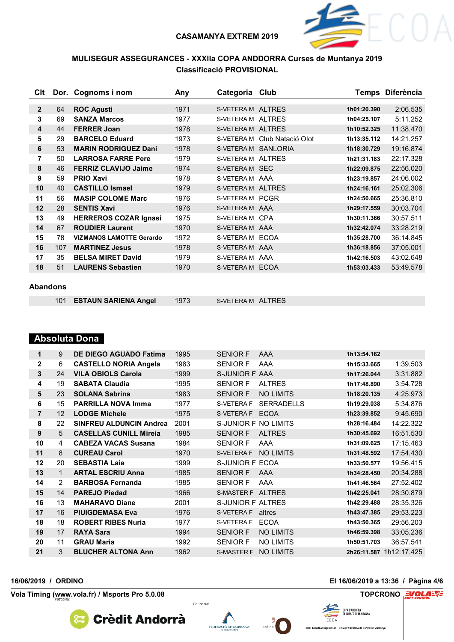

### **MULISEGUR ASSEGURANCES - XXXIIa COPA ANDDORRA Curses de Muntanya 2019 Classificació PROVISIONAL**

| Clt          |     | Dor. Cognoms i nom              | Any  | Categoria Club      |                   |             | Temps Diferència |
|--------------|-----|---------------------------------|------|---------------------|-------------------|-------------|------------------|
|              |     |                                 |      |                     |                   |             |                  |
| $\mathbf{2}$ | 64  | <b>ROC Agusti</b>               | 1971 | S-VETERA M ALTRES   |                   | 1h01:20.390 | 2:06.535         |
| 3            | 69  | <b>SANZA Marcos</b>             | 1977 | S-VETERA M ALTRES   |                   | 1h04:25.107 | 5:11.252         |
| 4            | 44  | <b>FERRER Joan</b>              | 1978 | S-VETERA M ALTRES   |                   | 1h10:52.325 | 11:38.470        |
| 5            | 29  | <b>BARCELO Eduard</b>           | 1973 | S-VETERA M          | Club Natació Olot | 1h13:35.112 | 14:21.257        |
| 6            | 53  | <b>MARIN RODRIGUEZ Dani</b>     | 1978 | S-VETERA M SANLORIA |                   | 1h18:30.729 | 19:16.874        |
| 7            | 50  | <b>LARROSA FARRE Pere</b>       | 1979 | S-VETERA M ALTRES   |                   | 1h21:31.183 | 22:17.328        |
| 8            | 46  | <b>FERRIZ CLAVIJO Jaime</b>     | 1974 | S-VETERA M SEC      |                   | 1h22:09.875 | 22:56.020        |
| 9            | 59  | <b>PRIO Xavi</b>                | 1978 | S-VETERA M AAA      |                   | 1h23:19.857 | 24:06.002        |
| 10           | 40  | <b>CASTILLO Ismael</b>          | 1979 | S-VETERA M ALTRES   |                   | 1h24:16.161 | 25:02.306        |
| 11           | 56  | <b>MASIP COLOME Marc</b>        | 1976 | S-VETERA M PCGR     |                   | 1h24:50.665 | 25:36.810        |
| 12           | 28  | <b>SENTIS Xavi</b>              | 1976 | S-VETERA M AAA      |                   | 1h29:17.559 | 30:03.704        |
| 13           | 49  | <b>HERREROS COZAR Ignasi</b>    | 1975 | S-VETERA M CPA      |                   | 1h30:11.366 | 30:57.511        |
| 14           | 67  | <b>ROUDIER Laurent</b>          | 1970 | S-VETERA M AAA      |                   | 1h32:42.074 | 33:28.219        |
| 15           | 78  | <b>VIZMANOS LAMOTTE Gerardo</b> | 1972 | S-VETERA M ECOA     |                   | 1h35:28.700 | 36:14.845        |
| 16           | 107 | <b>MARTINEZ Jesus</b>           | 1978 | S-VETERA M AAA      |                   | 1h36:18.856 | 37:05.001        |
| 17           | 35  | <b>BELSA MIRET David</b>        | 1979 | S-VETERA M AAA      |                   | 1h42:16.503 | 43:02.648        |
| 18           | 51  | <b>LAURENS Sebastien</b>        | 1970 | S-VETERA M ECOA     |                   | 1h53:03.433 | 53:49.578        |
|              |     |                                 |      |                     |                   |             |                  |

#### **Abandons**

|  | 101 ESTAUN SARIENA Angel | 1973 | S-VETERA M ALTRES |  |
|--|--------------------------|------|-------------------|--|
|--|--------------------------|------|-------------------|--|

#### **Absoluta Dona**

| 1              | 9               | DE DIEGO AGUADO Fatima         | 1995 | <b>SENIOR F</b>      | AAA               | 1h13:54.162 |                         |
|----------------|-----------------|--------------------------------|------|----------------------|-------------------|-------------|-------------------------|
| $\mathbf{2}$   | 6               | <b>CASTELLO NORIA Angela</b>   | 1983 | <b>SENIOR F</b>      | AAA               | 1h15:33.665 | 1:39.503                |
| 3              | 24              | <b>VILA OBIOLS Carola</b>      | 1999 | S-JUNIOR F AAA       |                   | 1h17:26.044 | 3:31.882                |
| 4              | 19              | <b>SABATA Claudia</b>          | 1995 | <b>SENIOR F</b>      | <b>ALTRES</b>     | 1h17:48.890 | 3:54.728                |
| 5              | 23              | <b>SOLANA Sabrina</b>          | 1983 | <b>SENIOR F</b>      | <b>NO LIMITS</b>  | 1h18:20.135 | 4:25.973                |
| 6              | 15              | <b>PARRILLA NOVA Imma</b>      | 1977 | S-VETERA F           | <b>SERRADELLS</b> | 1h19:29.038 | 5:34.876                |
| $\overline{7}$ | 12 <sup>2</sup> | <b>LODGE Michele</b>           | 1975 | S-VETERA F ECOA      |                   | 1h23:39.852 | 9:45.690                |
| 8              | 22              | <b>SINFREU ALDUNCIN Andrea</b> | 2001 | S-JUNIOR F NO LIMITS |                   | 1h28:16.484 | 14:22.322               |
| 9              | 5               | <b>CASELLAS CUNILL Mireia</b>  | 1985 | <b>SENIOR F</b>      | <b>ALTRES</b>     | 1h30:45.692 | 16:51.530               |
| 10             | 4               | <b>CABEZA VACAS Susana</b>     | 1984 | <b>SENIOR F</b>      | AAA               | 1h31:09.625 | 17:15.463               |
| 11             | 8               | <b>CUREAU Carol</b>            | 1970 | S-VETERA F           | <b>NO LIMITS</b>  | 1h31:48.592 | 17:54.430               |
| 12             | 20              | <b>SEBASTIA Laia</b>           | 1999 | S-JUNIOR F ECOA      |                   | 1h33:50.577 | 19:56.415               |
| 13             | 1               | <b>ARTAL ESCRIU Anna</b>       | 1985 | <b>SENIOR F</b>      | AAA               | 1h34:28.450 | 20:34.288               |
| 14             | 2               | <b>BARBOSA Fernanda</b>        | 1985 | <b>SENIOR F</b>      | AAA               | 1h41:46.564 | 27:52.402               |
| 15             | 14              | <b>PAREJO Piedad</b>           | 1966 | S-MASTER F ALTRES    |                   | 1h42:25.041 | 28:30.879               |
| 16             | 13              | <b>MAHARAVO Diane</b>          | 2001 | S-JUNIOR F ALTRES    |                   | 1h42:29.488 | 28:35.326               |
| 17             | 16              | <b>PIUIGDEMASA Eva</b>         | 1976 | S-VETERA F           | altres            | 1h43:47.385 | 29:53.223               |
| 18             | 18              | <b>ROBERT RIBES Nuria</b>      | 1977 | S-VETERA F           | <b>ECOA</b>       | 1h43:50.365 | 29:56.203               |
| 19             | 17              | <b>RAYA Sara</b>               | 1994 | <b>SENIOR F</b>      | <b>NO LIMITS</b>  | 1h46:59.398 | 33:05.236               |
| 20             | 11              | <b>GRAU Maria</b>              | 1992 | <b>SENIOR F</b>      | <b>NO LIMITS</b>  | 1h50:51.703 | 36:57.541               |
| 21             | 3               | <b>BLUCHER ALTONA Ann</b>      | 1962 | <b>S-MASTER F</b>    | <b>NO LIMITS</b>  |             | 2h26:11.587 1h12:17.425 |
|                |                 |                                |      |                      |                   |             |                         |

**Vola Timing (www.vola.fr) / Msports Pro 5.0.08 TOPCRONO**





Col·labora:



**16/06/2019 / ORDINO El 16/06/2019 a 13:36 / Pàgina 4/6**

ECOA

COPA D'ANDORRA<br>De curses de Muntanya

MULTISEGUR Assegurances - COPA D'ANDORRA de Curses de Muntanya

**VolaSoftControlPdf**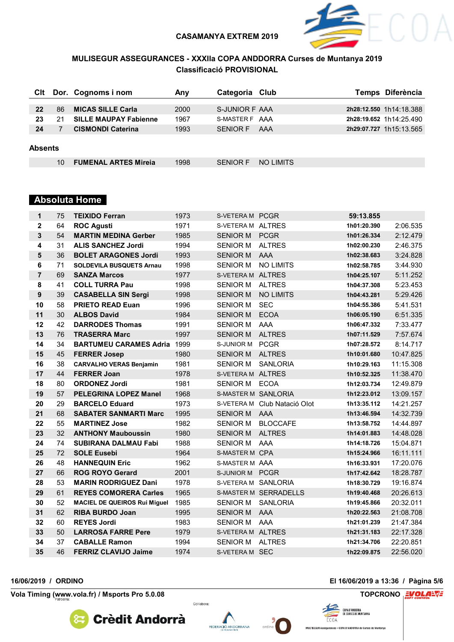

### **MULISEGUR ASSEGURANCES - XXXIIa COPA ANDDORRA Curses de Muntanya 2019 Classificació PROVISIONAL**

| Clt     |    | Dor. Cognoms i nom           | Anv  | Categoria Club |           | Temps Diferència        |
|---------|----|------------------------------|------|----------------|-----------|-------------------------|
|         |    |                              |      |                |           |                         |
| 22      | 86 | <b>MICAS SILLE Carla</b>     | 2000 | S-JUNIOR F AAA |           | 2h28:12.550 1h14:18.388 |
| 23      | 21 | <b>SILLE MAUPAY Fabienne</b> | 1967 | S-MASTER F AAA |           | 2h28:19.652 1h14:25.490 |
| 24      |    | <b>CISMONDI Caterina</b>     | 1993 | SENIOR F       | AAA       | 2h29:07.727 1h15:13.565 |
|         |    |                              |      |                |           |                         |
| Absents |    |                              |      |                |           |                         |
|         | 10 | <b>FUMENAL ARTES Mireja</b>  | 1998 | SENIOR F       | NO LIMITS |                         |
|         |    |                              |      |                |           |                         |

#### **Absoluta Home**

| 1              | 75 | <b>TEIXIDO Ferran</b>               | 1973 | S-VETERA M PCGR     |                              | 59:13.855   |           |
|----------------|----|-------------------------------------|------|---------------------|------------------------------|-------------|-----------|
| $\mathbf{2}$   | 64 | <b>ROC Agusti</b>                   | 1971 | S-VETERA M ALTRES   |                              | 1h01:20.390 | 2:06.535  |
| 3              | 54 | <b>MARTIN MEDINA Gerber</b>         | 1985 | <b>SENIOR M</b>     | <b>PCGR</b>                  | 1h01:26.334 | 2:12.479  |
| 4              | 31 | <b>ALIS SANCHEZ Jordi</b>           | 1994 | <b>SENIOR M</b>     | <b>ALTRES</b>                | 1h02:00.230 | 2:46.375  |
| 5              | 36 | <b>BOLET ARAGONES Jordi</b>         | 1993 | <b>SENIOR M</b>     | AAA                          | 1h02:38.683 | 3:24.828  |
| 6              | 71 | <b>SOLDEVILA BUSQUETS Arnau</b>     | 1998 | <b>SENIOR M</b>     | <b>NO LIMITS</b>             | 1h02:58.785 | 3:44.930  |
| $\overline{7}$ | 69 | <b>SANZA Marcos</b>                 | 1977 | S-VETERA M ALTRES   |                              | 1h04:25.107 | 5:11.252  |
| 8              | 41 | <b>COLL TURRA Pau</b>               | 1998 | <b>SENIOR M</b>     | <b>ALTRES</b>                | 1h04:37.308 | 5:23.453  |
| 9              | 39 | <b>CASABELLA SIN Sergi</b>          | 1998 | <b>SENIOR M</b>     | <b>NO LIMITS</b>             | 1h04:43.281 | 5:29.426  |
| 10             | 58 | <b>PRIETO READ Euan</b>             | 1996 | <b>SENIOR M</b>     | <b>SEC</b>                   | 1h04:55.386 | 5:41.531  |
| 11             | 30 | <b>ALBOS David</b>                  | 1984 | <b>SENIOR M</b>     | <b>ECOA</b>                  | 1h06:05.190 | 6:51.335  |
| 12             | 42 | <b>DARRODES Thomas</b>              | 1991 | <b>SENIOR M</b>     | AAA                          | 1h06:47.332 | 7:33.477  |
| 13             | 76 | <b>TRASERRA Marc</b>                | 1997 | <b>SENIOR M</b>     | <b>ALTRES</b>                | 1h07:11.529 | 7:57.674  |
| 14             | 34 | <b>BARTUMEU CARAMES Adria 1999</b>  |      | S-JUNIOR M PCGR     |                              | 1h07:28.572 | 8:14.717  |
| 15             | 45 | <b>FERRER Josep</b>                 | 1980 | <b>SENIOR M</b>     | <b>ALTRES</b>                | 1h10:01.680 | 10:47.825 |
| 16             | 38 | <b>CARVALHO VERAS Benjamin</b>      | 1981 | <b>SENIOR M</b>     | <b>SANLORIA</b>              | 1h10:29.163 | 11:15.308 |
| 17             | 44 | <b>FERRER Joan</b>                  | 1978 | S-VETERA M ALTRES   |                              | 1h10:52.325 | 11:38.470 |
| 18             | 80 | <b>ORDONEZ Jordi</b>                | 1981 | <b>SENIOR M</b>     | ECOA                         | 1h12:03.734 | 12:49.879 |
| 19             | 57 | <b>PELEGRINA LOPEZ Manel</b>        | 1968 | S-MASTER M SANLORIA |                              | 1h12:23.012 | 13:09.157 |
| 20             | 29 | <b>BARCELO Eduard</b>               | 1973 |                     | S-VETERA M Club Natació Olot | 1h13:35.112 | 14:21.257 |
| 21             | 68 | <b>SABATER SANMARTI Marc</b>        | 1995 | SENIOR M AAA        |                              | 1h13:46.594 | 14:32.739 |
| 22             | 55 | <b>MARTINEZ Jose</b>                | 1982 |                     | SENIOR M BLOCCAFE            | 1h13:58.752 | 14:44.897 |
| 23             | 32 | <b>ANTHONY Mauboussin</b>           | 1980 | <b>SENIOR M</b>     | <b>ALTRES</b>                | 1h14:01.883 | 14:48.028 |
| 24             | 74 | <b>SUBIRANA DALMAU Fabi</b>         | 1988 | <b>SENIOR M</b>     | AAA                          | 1h14:18.726 | 15:04.871 |
| 25             | 72 | <b>SOLE Eusebi</b>                  | 1964 | S-MASTER M CPA      |                              | 1h15:24.966 | 16:11.111 |
| 26             | 48 | <b>HANNEQUIN Eric</b>               | 1962 | S-MASTER M AAA      |                              | 1h16:33.931 | 17:20.076 |
| 27             | 66 | <b>ROG ROYO Gerard</b>              | 2001 | S-JUNIOR M PCGR     |                              | 1h17:42.642 | 18:28.787 |
| 28             | 53 | <b>MARIN RODRIGUEZ Dani</b>         | 1978 | S-VETERA M SANLORIA |                              | 1h18:30.729 | 19:16.874 |
| 29             | 61 | <b>REYES COMORERA Carles</b>        | 1965 |                     | S-MASTER M SERRADELLS        | 1h19:40.468 | 20:26.613 |
| 30             | 52 | <b>MACIEL DE QUEIROS Rui Miguel</b> | 1985 | <b>SENIOR M</b>     | <b>SANLORIA</b>              | 1h19:45.866 | 20:32.011 |
| 31             | 62 | <b>RIBA BURDO Joan</b>              | 1995 | <b>SENIOR M</b>     | AAA                          | 1h20:22.563 | 21:08.708 |
| 32             | 60 | <b>REYES Jordi</b>                  | 1983 | <b>SENIOR M</b>     | AAA                          | 1h21:01.239 | 21:47.384 |
| 33             | 50 | <b>LARROSA FARRE Pere</b>           | 1979 | S-VETERA M ALTRES   |                              | 1h21:31.183 | 22:17.328 |
| 34             | 37 | <b>CABALLE Ramon</b>                | 1994 | <b>SENIOR M</b>     | <b>ALTRES</b>                | 1h21:34.706 | 22:20.851 |
| 35             | 46 | <b>FERRIZ CLAVIJO Jaime</b>         | 1974 | S-VETERA M SEC      |                              | 1h22:09.875 | 22:56.020 |

**Vola Timing (www.vola.fr) / Msports Pro 5.0.08 TOPCRONO**





Col·labora:



**16/06/2019 / ORDINO El 16/06/2019 a 13:36 / Pàgina 5/6**

ECOA

COPA D'ANDORRA<br>De curses de Muntanya

MULTISEGUR Assegurances - COPA D'ANDORRA de Curses de Muntanya

**VolaSoftControlPdf**